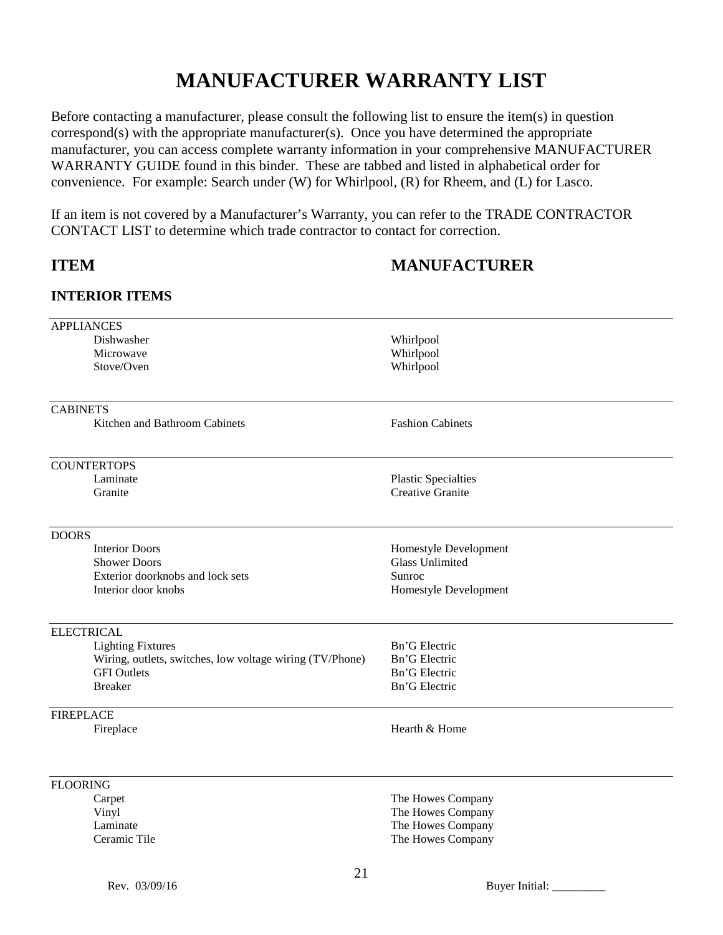# **MANUFACTURER WARRANTY LIST**

Before contacting a manufacturer, please consult the following list to ensure the item(s) in question correspond(s) with the appropriate manufacturer(s). Once you have determined the appropriate manufacturer, you can access complete warranty information in your comprehensive MANUFACTURER WARRANTY GUIDE found in this binder. These are tabbed and listed in alphabetical order for convenience. For example: Search under (W) for Whirlpool, (R) for Rheem, and (L) for Lasco.

If an item is not covered by a Manufacturer's Warranty, you can refer to the TRADE CONTRACTOR CONTACT LIST to determine which trade contractor to contact for correction.

# **ITEM MANUFACTURER**

### **INTERIOR ITEMS**

| <b>APPLIANCES</b>                                        |                            |
|----------------------------------------------------------|----------------------------|
| Dishwasher                                               | Whirlpool                  |
| Microwave                                                | Whirlpool                  |
| Stove/Oven                                               | Whirlpool                  |
|                                                          |                            |
| <b>CABINETS</b>                                          |                            |
| Kitchen and Bathroom Cabinets                            | <b>Fashion Cabinets</b>    |
| <b>COUNTERTOPS</b>                                       |                            |
| Laminate                                                 | <b>Plastic Specialties</b> |
| Granite                                                  | <b>Creative Granite</b>    |
|                                                          |                            |
| <b>DOORS</b>                                             |                            |
| <b>Interior Doors</b>                                    | Homestyle Development      |
| <b>Shower Doors</b>                                      | <b>Glass Unlimited</b>     |
| Exterior doorknobs and lock sets<br>Interior door knobs  | Sunroc                     |
|                                                          | Homestyle Development      |
| <b>ELECTRICAL</b>                                        |                            |
| <b>Lighting Fixtures</b>                                 | Bn'G Electric              |
| Wiring, outlets, switches, low voltage wiring (TV/Phone) | Bn'G Electric              |
| <b>GFI</b> Outlets                                       | Bn'G Electric              |
| <b>Breaker</b>                                           | Bn'G Electric              |
| <b>FIREPLACE</b>                                         |                            |
| Fireplace                                                | Hearth & Home              |
|                                                          |                            |
| <b>FLOORING</b>                                          |                            |
| Carpet                                                   | The Howes Company          |
| Vinyl                                                    | The Howes Company          |
| Laminate                                                 | The Howes Company          |
| Ceramic Tile                                             | The Howes Company          |
| 21                                                       |                            |
| Rev. 03/09/16                                            | <b>Buyer Initial:</b>      |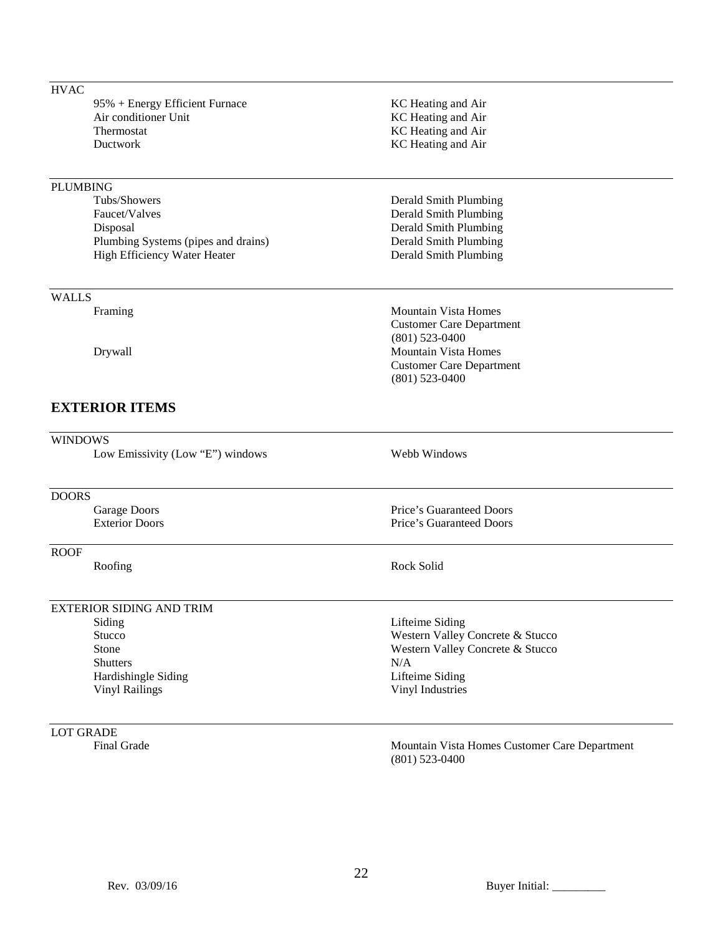| <b>HVAC</b>      |                                     |                                                                   |
|------------------|-------------------------------------|-------------------------------------------------------------------|
|                  | 95% + Energy Efficient Furnace      | KC Heating and Air                                                |
|                  | Air conditioner Unit                | KC Heating and Air                                                |
|                  | Thermostat                          | KC Heating and Air                                                |
|                  | Ductwork                            | KC Heating and Air                                                |
|                  |                                     |                                                                   |
| <b>PLUMBING</b>  |                                     |                                                                   |
|                  | Tubs/Showers                        | Derald Smith Plumbing                                             |
|                  | Faucet/Valves                       | Derald Smith Plumbing                                             |
|                  | Disposal                            | Derald Smith Plumbing                                             |
|                  | Plumbing Systems (pipes and drains) | Derald Smith Plumbing                                             |
|                  | High Efficiency Water Heater        | Derald Smith Plumbing                                             |
| <b>WALLS</b>     |                                     |                                                                   |
|                  | Framing                             | <b>Mountain Vista Homes</b>                                       |
|                  |                                     | <b>Customer Care Department</b>                                   |
|                  |                                     | $(801)$ 523-0400                                                  |
|                  | Drywall                             | <b>Mountain Vista Homes</b>                                       |
|                  |                                     | <b>Customer Care Department</b>                                   |
|                  |                                     | $(801)$ 523-0400                                                  |
|                  | <b>EXTERIOR ITEMS</b>               |                                                                   |
| <b>WINDOWS</b>   |                                     |                                                                   |
|                  | Low Emissivity (Low "E") windows    | Webb Windows                                                      |
| <b>DOORS</b>     |                                     |                                                                   |
|                  | Garage Doors                        | Price's Guaranteed Doors                                          |
|                  | <b>Exterior Doors</b>               | Price's Guaranteed Doors                                          |
| <b>ROOF</b>      |                                     |                                                                   |
|                  | Roofing                             | Rock Solid                                                        |
|                  | <b>EXTERIOR SIDING AND TRIM</b>     |                                                                   |
|                  | Siding                              | Lifteime Siding                                                   |
|                  | Stucco                              | Western Valley Concrete & Stucco                                  |
|                  | Stone                               | Western Valley Concrete & Stucco                                  |
|                  | <b>Shutters</b>                     | N/A                                                               |
|                  | Hardishingle Siding                 | Lifteime Siding                                                   |
|                  | <b>Vinyl Railings</b>               | Vinyl Industries                                                  |
| <b>LOT GRADE</b> |                                     |                                                                   |
|                  | Final Grade                         | Mountain Vista Homes Customer Care Department<br>$(801)$ 523-0400 |

Rev. 03/09/16 Buyer Initial: \_\_\_\_\_\_\_\_\_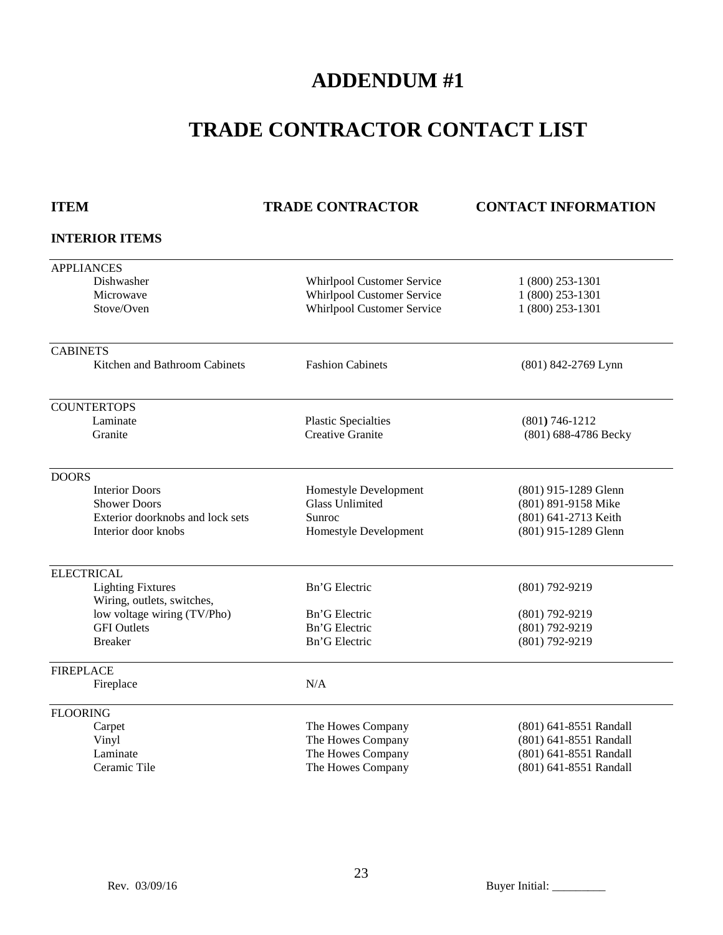# **ADDENDUM #1**

# **TRADE CONTRACTOR CONTACT LIST**

### **ITEM TRADE CONTRACTOR CONTACT INFORMATION**

### **INTERIOR ITEMS**

| <b>APPLIANCES</b>                |                                   |                        |
|----------------------------------|-----------------------------------|------------------------|
| Dishwasher                       | Whirlpool Customer Service        | 1 (800) 253-1301       |
| Microwave                        | <b>Whirlpool Customer Service</b> | 1 (800) 253-1301       |
| Stove/Oven                       | <b>Whirlpool Customer Service</b> | 1 (800) 253-1301       |
|                                  |                                   |                        |
| <b>CABINETS</b>                  |                                   |                        |
| Kitchen and Bathroom Cabinets    | <b>Fashion Cabinets</b>           | (801) 842-2769 Lynn    |
| <b>COUNTERTOPS</b>               |                                   |                        |
| Laminate                         | <b>Plastic Specialties</b>        | $(801) 746 - 1212$     |
| Granite                          | <b>Creative Granite</b>           | (801) 688-4786 Becky   |
|                                  |                                   |                        |
| <b>DOORS</b>                     |                                   |                        |
| <b>Interior Doors</b>            | Homestyle Development             | (801) 915-1289 Glenn   |
| <b>Shower Doors</b>              | <b>Glass Unlimited</b>            | (801) 891-9158 Mike    |
| Exterior doorknobs and lock sets | Sunroc                            | (801) 641-2713 Keith   |
| Interior door knobs              | Homestyle Development             | (801) 915-1289 Glenn   |
| <b>ELECTRICAL</b>                |                                   |                        |
| <b>Lighting Fixtures</b>         | Bn'G Electric                     | (801) 792-9219         |
| Wiring, outlets, switches,       |                                   |                        |
| low voltage wiring (TV/Pho)      | Bn'G Electric                     | (801) 792-9219         |
| <b>GFI</b> Outlets               | Bn'G Electric                     | $(801) 792 - 9219$     |
| <b>Breaker</b>                   | Bn'G Electric                     | (801) 792-9219         |
| <b>FIREPLACE</b>                 |                                   |                        |
| Fireplace                        | N/A                               |                        |
|                                  |                                   |                        |
| <b>FLOORING</b>                  |                                   |                        |
| Carpet                           | The Howes Company                 | (801) 641-8551 Randall |
| Vinyl                            | The Howes Company                 | (801) 641-8551 Randall |
| Laminate                         | The Howes Company                 | (801) 641-8551 Randall |
| Ceramic Tile                     | The Howes Company                 | (801) 641-8551 Randall |

Rev. 03/09/16 Buyer Initial: \_\_\_\_\_\_\_\_\_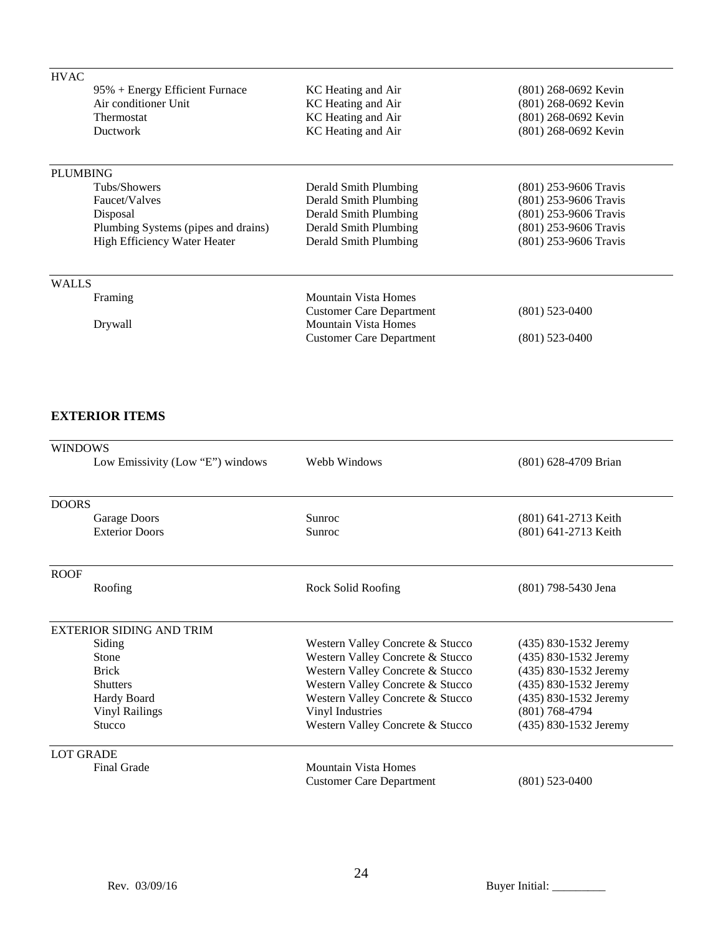| <b>HVAC</b>     |                                     |                                                                |                       |
|-----------------|-------------------------------------|----------------------------------------------------------------|-----------------------|
|                 | 95% + Energy Efficient Furnace      | KC Heating and Air                                             | (801) 268-0692 Kevin  |
|                 | Air conditioner Unit                | KC Heating and Air                                             | (801) 268-0692 Kevin  |
|                 | <b>Thermostat</b>                   | KC Heating and Air                                             | (801) 268-0692 Kevin  |
|                 | Ductwork                            | KC Heating and Air                                             | (801) 268-0692 Kevin  |
| <b>PLUMBING</b> |                                     |                                                                |                       |
|                 | Tubs/Showers                        | Derald Smith Plumbing                                          | (801) 253-9606 Travis |
|                 | Faucet/Valves                       | Derald Smith Plumbing                                          | (801) 253-9606 Travis |
|                 | Disposal                            | Derald Smith Plumbing                                          | (801) 253-9606 Travis |
|                 | Plumbing Systems (pipes and drains) | Derald Smith Plumbing                                          | (801) 253-9606 Travis |
|                 | High Efficiency Water Heater        | Derald Smith Plumbing                                          | (801) 253-9606 Travis |
| <b>WALLS</b>    |                                     |                                                                |                       |
|                 | Framing                             | Mountain Vista Homes                                           |                       |
|                 | Drywall                             | <b>Customer Care Department</b><br><b>Mountain Vista Homes</b> | $(801)$ 523-0400      |
|                 |                                     | <b>Customer Care Department</b>                                | $(801)$ 523-0400      |
|                 |                                     |                                                                |                       |

## **EXTERIOR ITEMS**

| <b>WINDOWS</b>                   |                                  |                       |  |
|----------------------------------|----------------------------------|-----------------------|--|
| Low Emissivity (Low "E") windows | Webb Windows                     | (801) 628-4709 Brian  |  |
|                                  |                                  |                       |  |
| <b>DOORS</b>                     |                                  |                       |  |
| <b>Garage Doors</b>              | Sunroc                           | (801) 641-2713 Keith  |  |
| <b>Exterior Doors</b>            | Sunroc                           | (801) 641-2713 Keith  |  |
| <b>ROOF</b>                      |                                  |                       |  |
| Roofing                          | Rock Solid Roofing               | (801) 798-5430 Jena   |  |
| EXTERIOR SIDING AND TRIM         |                                  |                       |  |
| Siding                           | Western Valley Concrete & Stucco | (435) 830-1532 Jeremy |  |
| Stone                            | Western Valley Concrete & Stucco | (435) 830-1532 Jeremy |  |
| <b>Brick</b>                     | Western Valley Concrete & Stucco | (435) 830-1532 Jeremy |  |
| <b>Shutters</b>                  | Western Valley Concrete & Stucco | (435) 830-1532 Jeremy |  |
| Hardy Board                      | Western Valley Concrete & Stucco | (435) 830-1532 Jeremy |  |
| <b>Vinyl Railings</b>            | Vinyl Industries                 | $(801)$ 768-4794      |  |
| Stucco                           | Western Valley Concrete & Stucco | (435) 830-1532 Jeremy |  |
| <b>LOT GRADE</b>                 |                                  |                       |  |
| <b>Final Grade</b>               | Mountain Vista Homes             |                       |  |
|                                  | <b>Customer Care Department</b>  | $(801)$ 523-0400      |  |

Rev. 03/09/16 Buyer Initial: \_\_\_\_\_\_\_\_\_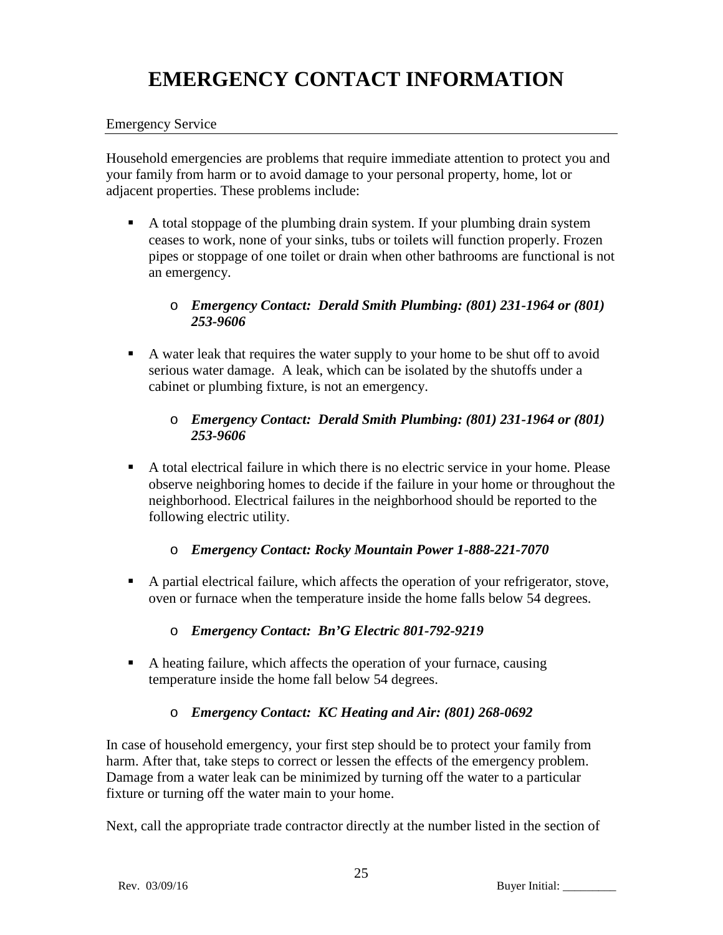# **EMERGENCY CONTACT INFORMATION**

### Emergency Service

Household emergencies are problems that require immediate attention to protect you and your family from harm or to avoid damage to your personal property, home, lot or adjacent properties. These problems include:

 A total stoppage of the plumbing drain system. If your plumbing drain system ceases to work, none of your sinks, tubs or toilets will function properly. Frozen pipes or stoppage of one toilet or drain when other bathrooms are functional is not an emergency.

## o *Emergency Contact: Derald Smith Plumbing: (801) 231-1964 or (801) 253-9606*

 A water leak that requires the water supply to your home to be shut off to avoid serious water damage. A leak, which can be isolated by the shutoffs under a cabinet or plumbing fixture, is not an emergency.

## o *Emergency Contact: Derald Smith Plumbing: (801) 231-1964 or (801) 253-9606*

 A total electrical failure in which there is no electric service in your home. Please observe neighboring homes to decide if the failure in your home or throughout the neighborhood. Electrical failures in the neighborhood should be reported to the following electric utility.

# o *Emergency Contact: Rocky Mountain Power 1-888-221-7070*

 A partial electrical failure, which affects the operation of your refrigerator, stove, oven or furnace when the temperature inside the home falls below 54 degrees.

# o *Emergency Contact: Bn'G Electric 801-792-9219*

 A heating failure, which affects the operation of your furnace, causing temperature inside the home fall below 54 degrees.

# o *Emergency Contact: KC Heating and Air: (801) 268-0692*

In case of household emergency, your first step should be to protect your family from harm. After that, take steps to correct or lessen the effects of the emergency problem. Damage from a water leak can be minimized by turning off the water to a particular fixture or turning off the water main to your home.

Next, call the appropriate trade contractor directly at the number listed in the section of

Rev. 03/09/16 Buyer Initial: